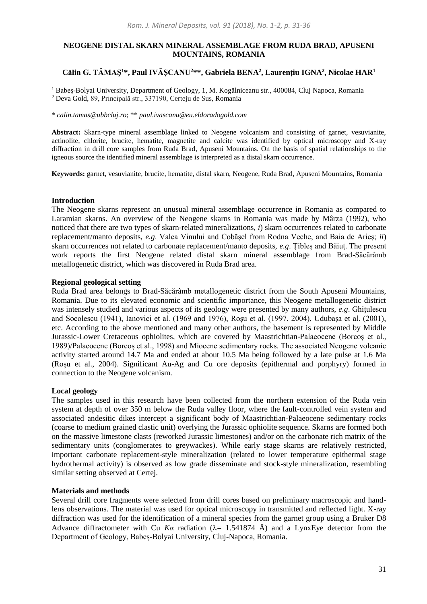# **NEOGENE DISTAL SKARN MINERAL ASSEMBLAGE FROM RUDA BRAD, APUSENI MOUNTAINS, ROMANIA**

# **Călin G. TĂMAŞ<sup>1</sup>\*, Paul IVĂȘCANU<sup>2</sup>\*\*, Gabriela BENA<sup>2</sup> , Laurențiu IGNA<sup>2</sup> , Nicolae HAR<sup>1</sup>**

<sup>1</sup> Babeș-Bolyai University, Department of Geology, 1, M. Kogălniceanu str., 400084, Cluj Napoca, Romania <sup>2</sup> Deva Gold, 89, Principală str., 337190, Certeju de Sus, Romania

\* *calin.tamas@ubbcluj.ro*; \*\* *paul.ivascanu@eu.eldoradogold.com*

**Abstract:** Skarn-type mineral assemblage linked to Neogene volcanism and consisting of garnet, vesuvianite, actinolite, chlorite, brucite, hematite, magnetite and calcite was identified by optical microscopy and X-ray diffraction in drill core samples from Ruda Brad, Apuseni Mountains. On the basis of spatial relationships to the igneous source the identified mineral assemblage is interpreted as a distal skarn occurrence.

**Keywords:** garnet, vesuvianite, brucite, hematite, distal skarn, Neogene, Ruda Brad, Apuseni Mountains, Romania

## **Introduction**

The Neogene skarns represent an unusual mineral assemblage occurrence in Romania as compared to Laramian skarns. An overview of the Neogene skarns in Romania was made by Mârza (1992), who noticed that there are two types of skarn-related mineralizations, *i*) skarn occurrences related to carbonate replacement/manto deposits, *e.g*. Valea Vinului and Cobășel from Rodna Veche, and Baia de Arieș; *ii*) skarn occurrences not related to carbonate replacement/manto deposits, *e.g*. Ţibleș and Băiuț. The present work reports the first Neogene related distal skarn mineral assemblage from Brad-Săcărâmb metallogenetic district, which was discovered in Ruda Brad area.

## **Regional geological setting**

Ruda Brad area belongs to Brad-Săcărâmb metallogenetic district from the South Apuseni Mountains, Romania. Due to its elevated economic and scientific importance, this Neogene metallogenetic district was intensely studied and various aspects of its geology were presented by many authors, *e.g*. Ghițulescu and Socolescu (1941), Ianovici et al. (1969 and 1976), Roșu et al. (1997, 2004), Udubașa et al. (2001), etc. According to the above mentioned and many other authors, the basement is represented by Middle Jurassic-Lower Cretaceous ophiolites, which are covered by Maastrichtian-Palaeocene (Borcoș et al., 1989)/Palaeocene (Borcoș et al., 1998) and Miocene sedimentary rocks. The associated Neogene volcanic activity started around 14.7 Ma and ended at about 10.5 Ma being followed by a late pulse at 1.6 Ma (Roșu et al., 2004). Significant Au-Ag and Cu ore deposits (epithermal and porphyry) formed in connection to the Neogene volcanism.

# **Local geology**

The samples used in this research have been collected from the northern extension of the Ruda vein system at depth of over 350 m below the Ruda valley floor, where the fault-controlled vein system and associated andesitic dikes intercept a significant body of Maastrichtian-Palaeocene sedimentary rocks (coarse to medium grained clastic unit) overlying the Jurassic ophiolite sequence. Skarns are formed both on the massive limestone clasts (reworked Jurassic limestones) and/or on the carbonate rich matrix of the sedimentary units (conglomerates to greywackes). While early stage skarns are relatively restricted, important carbonate replacement-style mineralization (related to lower temperature epithermal stage hydrothermal activity) is observed as low grade disseminate and stock-style mineralization, resembling similar setting observed at Certej.

### **Materials and methods**

Several drill core fragments were selected from drill cores based on preliminary macroscopic and handlens observations. The material was used for optical microscopy in transmitted and reflected light. X-ray diffraction was used for the identification of a mineral species from the garnet group using a Bruker D8 Advance diffractometer with Cu Ka radiation  $(\lambda = 1.541874 \text{ Å})$  and a LynxEye detector from the Department of Geology, Babeș-Bolyai University, Cluj-Napoca, Romania.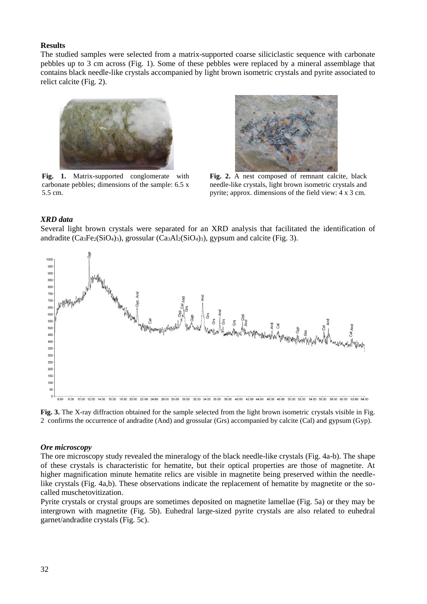## **Results**

The studied samples were selected from a matrix-supported coarse siliciclastic sequence with carbonate pebbles up to 3 cm across (Fig. 1). Some of these pebbles were replaced by a mineral assemblage that contains black needle-like crystals accompanied by light brown isometric crystals and pyrite associated to relict calcite (Fig. 2).



**Fig. 1.** Matrix-supported conglomerate with carbonate pebbles; dimensions of the sample: 6.5 x 5.5 cm.



**Fig. 2.** A nest composed of remnant calcite, black needle-like crystals, light brown isometric crystals and pyrite; approx. dimensions of the field view: 4 x 3 cm.

### *XRD data*

 $1000$  $950$ 900 850 800 750  $70<sup>c</sup>$ 650 60 550 500 450 400 350 300 250 200 150 100 50  $\mathbf{0}$ 8.00 10.00 12.00 14.00 16.00 18.00 20.00 24.00 24.00 26.00 38.00 30.00 34.00 36.00 36.00 40.00 42.00 44.00 46.00 48.00 50.00 52.00 54.00 56.00 58.00 60.00 62.00 64.00

Several light brown crystals were separated for an XRD analysis that facilitated the identification of

andradite  $(Ca_3Fe_2(SiO_4)_3)$ , grossular  $(Ca_3Al_2(SiO_4)_3)$ , gypsum and calcite (Fig. 3).

**Fig. 3.** The X-ray diffraction obtained for the sample selected from the light brown isometric crystals visible in Fig. 2 confirms the occurrence of andradite (And) and grossular (Grs) accompanied by calcite (Cal) and gypsum (Gyp).

### *Ore microscopy*

The ore microscopy study revealed the mineralogy of the black needle-like crystals (Fig. 4a-b). The shape of these crystals is characteristic for hematite, but their optical properties are those of magnetite. At higher magnification minute hematite relics are visible in magnetite being preserved within the needlelike crystals (Fig. 4a,b). These observations indicate the replacement of hematite by magnetite or the socalled muschetovitization.

Pyrite crystals or crystal groups are sometimes deposited on magnetite lamellae (Fig. 5a) or they may be intergrown with magnetite (Fig. 5b). Euhedral large-sized pyrite crystals are also related to euhedral garnet/andradite crystals (Fig. 5c).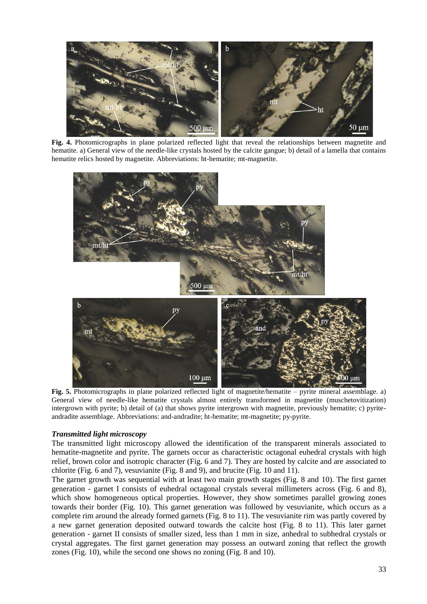

**Fig. 4.** Photomicrographs in plane polarized reflected light that reveal the relationships between magnetite and hematite. a) General view of the needle-like crystals hosted by the calcite gangue; b) detail of a lamella that contains hematite relics hosted by magnetite. Abbreviations: ht-hematite; mt-magnetite.



**Fig. 5.** Photomicrographs in plane polarized reflected light of magnetite/hematite – pyrite mineral assemblage. a) General view of needle-like hematite crystals almost entirely transformed in magnetite (muschetovitization) intergrown with pyrite; b) detail of (a) that shows pyrite intergrown with magnetite, previously hematite; c) pyriteandradite assemblage. Abbreviations: and-andradite; ht-hematite; mt-magnetite; py-pyrite.

# *Transmitted light microscopy*

The transmitted light microscopy allowed the identification of the transparent minerals associated to hematite-magnetite and pyrite. The garnets occur as characteristic octagonal euhedral crystals with high relief, brown color and isotropic character (Fig. 6 and 7). They are hosted by calcite and are associated to chlorite (Fig. 6 and 7), vesuvianite (Fig. 8 and 9), and brucite (Fig. 10 and 11).

The garnet growth was sequential with at least two main growth stages (Fig. 8 and 10). The first garnet generation - garnet I consists of euhedral octagonal crystals several millimeters across (Fig. 6 and 8), which show homogeneous optical properties. However, they show sometimes parallel growing zones towards their border (Fig. 10). This garnet generation was followed by vesuvianite, which occurs as a complete rim around the already formed garnets (Fig. 8 to 11). The vesuvianite rim was partly covered by a new garnet generation deposited outward towards the calcite host (Fig. 8 to 11). This later garnet generation - garnet II consists of smaller sized, less than 1 mm in size, anhedral to subhedral crystals or crystal aggregates. The first garnet generation may possess an outward zoning that reflect the growth zones (Fig. 10), while the second one shows no zoning (Fig. 8 and 10).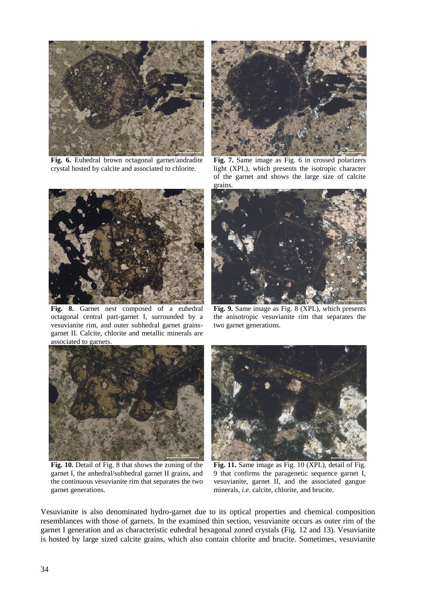

**Fig. 6.** Euhedral brown octagonal garnet/andradite crystal hosted by calcite and associated to chlorite.



**Fig. 8.** Garnet nest composed of a euhedral octagonal central part-garnet I, surrounded by a vesuvianite rim, and outer subhedral garnet grainsgarnet II. Calcite, chlorite and metallic minerals are associated to garnets.



**Fig. 7.** Same image as Fig. 6 in crossed polarizers light (XPL), which presents the isotropic character of the garnet and shows the large size of calcite grains.



**Fig. 9.** Same image as Fig. 8 (XPL), which presents the anisotropic vesuvianite rim that separates the two garnet generations.



**Fig. 10.** Detail of Fig. 8 that shows the zoning of the garnet I, the anhedral/subhedral garnet II grains, and the continuous vesuvianite rim that separates the two garnet generations.



**Fig. 11.** Same image as Fig. 10 (XPL), detail of Fig. 9 that confirms the paragenetic sequence garnet I, vesuvianite, garnet II, and the associated gangue minerals, *i.e*. calcite, chlorite, and brucite.

Vesuvianite is also denominated hydro-garnet due to its optical properties and chemical composition resemblances with those of garnets. In the examined thin section, vesuvianite occurs as outer rim of the garnet I generation and as characteristic euhedral hexagonal zoned crystals (Fig. 12 and 13). Vesuvianite is hosted by large sized calcite grains, which also contain chlorite and brucite. Sometimes, vesuvianite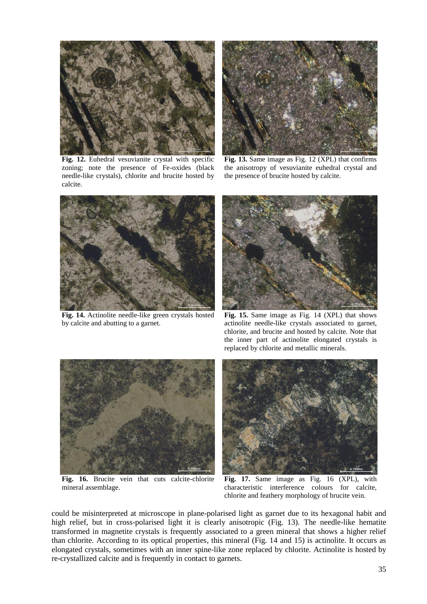

**Fig. 12.** Euhedral vesuvianite crystal with specific zoning; note the presence of Fe-oxides (black needle-like crystals), chlorite and brucite hosted by calcite.



**Fig. 13.** Same image as Fig. 12 (XPL) that confirms the anisotropy of vesuvianite euhedral crystal and the presence of brucite hosted by calcite.



**Fig. 14.** Actinolite needle-like green crystals hosted by calcite and abutting to a garnet.



**Fig. 15.** Same image as Fig. 14 (XPL) that shows actinolite needle-like crystals associated to garnet, chlorite, and brucite and hosted by calcite. Note that the inner part of actinolite elongated crystals is replaced by chlorite and metallic minerals.



**Fig. 16.** Brucite vein that cuts calcite-chlorite mineral assemblage.



**Fig. 17.** Same image as Fig. 16 (XPL), with characteristic interference colours for calcite, chlorite and feathery morphology of brucite vein.

could be misinterpreted at microscope in plane-polarised light as garnet due to its hexagonal habit and high relief, but in cross-polarised light it is clearly anisotropic (Fig. 13). The needle-like hematite transformed in magnetite crystals is frequently associated to a green mineral that shows a higher relief than chlorite. According to its optical properties, this mineral (Fig. 14 and 15) is actinolite. It occurs as elongated crystals, sometimes with an inner spine-like zone replaced by chlorite. Actinolite is hosted by re-crystallized calcite and is frequently in contact to garnets.